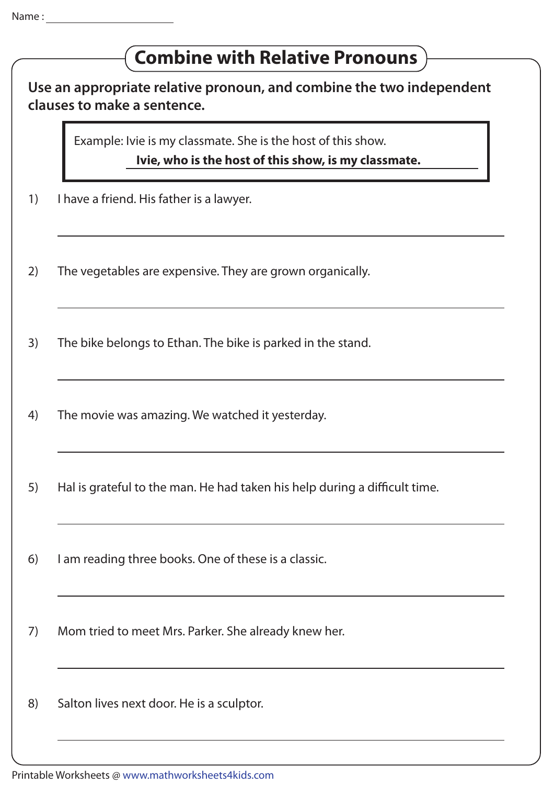## **Use an appropriate relative pronoun, and combine the two independent clauses to make a sentence.** Example: Ivie is my classmate. She is the host of this show. **Ivie, who is the host of this show, is my classmate.** 1) I have a friend. His father is a lawyer. 2) The vegetables are expensive. They are grown organically. 3) The bike belongs to Ethan. The bike is parked in the stand. 4) The movie was amazing. We watched it yesterday. 5) Hal is grateful to the man. He had taken his help during a difficult time. 6) I am reading three books. One of these is a classic. 7) Mom tried to meet Mrs. Parker. She already knew her. 8) Salton lives next door. He is a sculptor. **Combine with Relative Pronouns**

Printable Worksheets @ www.mathworksheets4kids.com